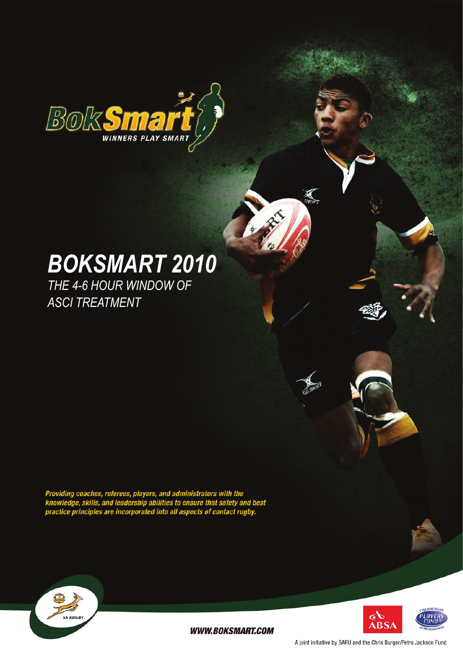

# *BokSmart 2010*

*The 4-6 hour window of ASCI Treatment*

Providing coaches, referees, players, and administrators with the<br>knowledge, skills, and leadership abilities to ensure that safety and best<br>practice principles are incorporated into all aspects of contact rugby.





**WWW.BOKSMART.COM** 

A joint initiative by SARU and the Chris Burger/Petro Jackson Fund

 $\sum_{B \to RT}$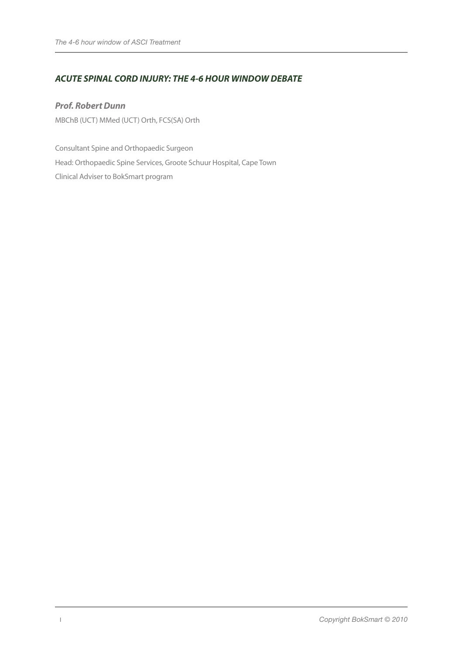## *ACUTE SPINAL CORD INJURY: THE 4-6 HOUR WINDOW DEBATE*

*Prof. Robert Dunn* MBChB (UCT) MMed (UCT) Orth, FCS(SA) Orth

Consultant Spine and Orthopaedic Surgeon Head: Orthopaedic Spine Services, Groote Schuur Hospital, Cape Town Clinical Adviser to BokSmart program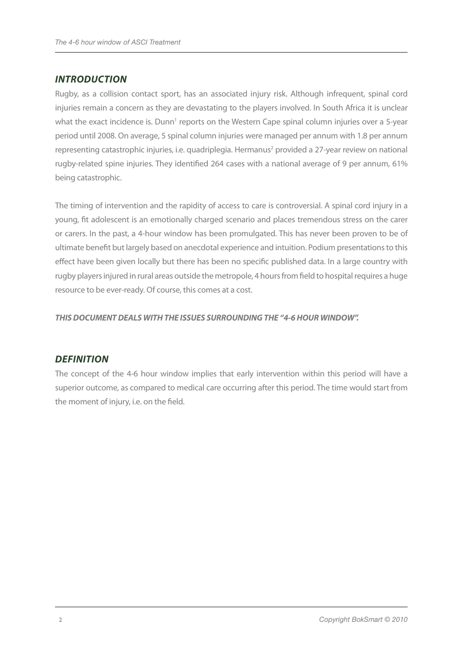## *INTRODUCTION*

Rugby, as a collision contact sport, has an associated injury risk. Although infrequent, spinal cord injuries remain a concern as they are devastating to the players involved. In South Africa it is unclear what the exact incidence is. Dunn<sup>1</sup> reports on the Western Cape spinal column injuries over a 5-year period until 2008. On average, 5 spinal column injuries were managed per annum with 1.8 per annum representing catastrophic injuries, i.e. quadriplegia. Hermanus<sup>2</sup> provided a 27-year review on national rugby-related spine injuries. They identified 264 cases with a national average of 9 per annum, 61% being catastrophic.

The timing of intervention and the rapidity of access to care is controversial. A spinal cord injury in a young, fit adolescent is an emotionally charged scenario and places tremendous stress on the carer or carers. In the past, a 4-hour window has been promulgated. This has never been proven to be of ultimate benefit but largely based on anecdotal experience and intuition. Podium presentations to this effect have been given locally but there has been no specific published data. In a large country with rugby players injured in rural areas outside the metropole, 4 hours from field to hospital requires a huge resource to be ever-ready. Of course, this comes at a cost.

*THIS DOCUMENT DEALS WITH THE ISSUES SURROUNDING THE "4-6 HOUR WINDOW".*

## *DEFINITION*

The concept of the 4-6 hour window implies that early intervention within this period will have a superior outcome, as compared to medical care occurring after this period. The time would start from the moment of injury, i.e. on the field.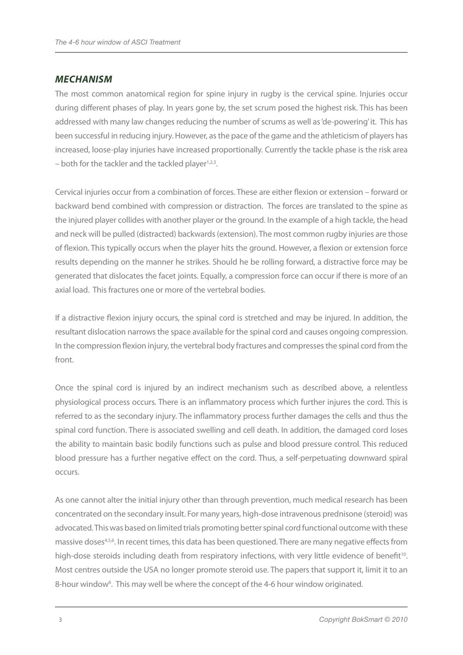#### *MECHANISM*

The most common anatomical region for spine injury in rugby is the cervical spine. Injuries occur during different phases of play. In years gone by, the set scrum posed the highest risk. This has been addressed with many law changes reducing the number of scrums as well as 'de-powering' it. This has been successful in reducing injury. However, as the pace of the game and the athleticism of players has increased, loose-play injuries have increased proportionally. Currently the tackle phase is the risk area  $-$  both for the tackler and the tackled player<sup>1,2,3</sup>.

Cervical injuries occur from a combination of forces. These are either flexion or extension – forward or backward bend combined with compression or distraction. The forces are translated to the spine as the injured player collides with another player or the ground. In the example of a high tackle, the head and neck will be pulled (distracted) backwards (extension). The most common rugby injuries are those of flexion. This typically occurs when the player hits the ground. However, a flexion or extension force results depending on the manner he strikes. Should he be rolling forward, a distractive force may be generated that dislocates the facet joints. Equally, a compression force can occur if there is more of an axial load. This fractures one or more of the vertebral bodies.

If a distractive flexion injury occurs, the spinal cord is stretched and may be injured. In addition, the resultant dislocation narrows the space available for the spinal cord and causes ongoing compression. In the compression flexion injury, the vertebral body fractures and compresses the spinal cord from the front.

Once the spinal cord is injured by an indirect mechanism such as described above, a relentless physiological process occurs. There is an inflammatory process which further injures the cord. This is referred to as the secondary injury. The inflammatory process further damages the cells and thus the spinal cord function. There is associated swelling and cell death. In addition, the damaged cord loses the ability to maintain basic bodily functions such as pulse and blood pressure control. This reduced blood pressure has a further negative effect on the cord. Thus, a self-perpetuating downward spiral occurs.

As one cannot alter the initial injury other than through prevention, much medical research has been concentrated on the secondary insult. For many years, high-dose intravenous prednisone (steroid) was advocated. This was based on limited trials promoting better spinal cord functional outcome with these massive doses<sup>4,5,6</sup>. In recent times, this data has been questioned. There are many negative effects from high-dose steroids including death from respiratory infections, with very little evidence of benefit<sup>10</sup>. Most centres outside the USA no longer promote steroid use. The papers that support it, limit it to an 8-hour window<sup>6</sup>. This may well be where the concept of the 4-6 hour window originated.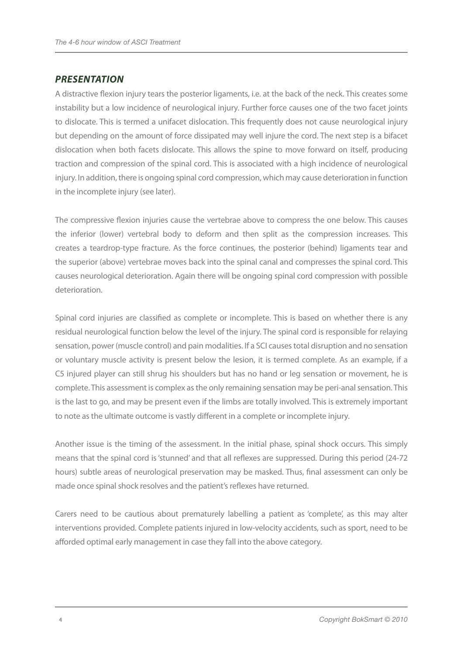#### *PRESENTATION*

A distractive flexion injury tears the posterior ligaments, i.e. at the back of the neck. This creates some instability but a low incidence of neurological injury. Further force causes one of the two facet joints to dislocate. This is termed a unifacet dislocation. This frequently does not cause neurological injury but depending on the amount of force dissipated may well injure the cord. The next step is a bifacet dislocation when both facets dislocate. This allows the spine to move forward on itself, producing traction and compression of the spinal cord. This is associated with a high incidence of neurological injury. In addition, there is ongoing spinal cord compression, which may cause deterioration in function in the incomplete injury (see later).

The compressive flexion injuries cause the vertebrae above to compress the one below. This causes the inferior (lower) vertebral body to deform and then split as the compression increases. This creates a teardrop-type fracture. As the force continues, the posterior (behind) ligaments tear and the superior (above) vertebrae moves back into the spinal canal and compresses the spinal cord. This causes neurological deterioration. Again there will be ongoing spinal cord compression with possible deterioration.

Spinal cord injuries are classified as complete or incomplete. This is based on whether there is any residual neurological function below the level of the injury. The spinal cord is responsible for relaying sensation, power (muscle control) and pain modalities. If a SCI causes total disruption and no sensation or voluntary muscle activity is present below the lesion, it is termed complete. As an example, if a C5 injured player can still shrug his shoulders but has no hand or leg sensation or movement, he is complete. This assessment is complex as the only remaining sensation may be peri-anal sensation. This is the last to go, and may be present even if the limbs are totally involved. This is extremely important to note as the ultimate outcome is vastly different in a complete or incomplete injury.

Another issue is the timing of the assessment. In the initial phase, spinal shock occurs. This simply means that the spinal cord is 'stunned' and that all reflexes are suppressed. During this period (24-72 hours) subtle areas of neurological preservation may be masked. Thus, final assessment can only be made once spinal shock resolves and the patient's reflexes have returned.

Carers need to be cautious about prematurely labelling a patient as 'complete', as this may alter interventions provided. Complete patients injured in low-velocity accidents, such as sport, need to be afforded optimal early management in case they fall into the above category.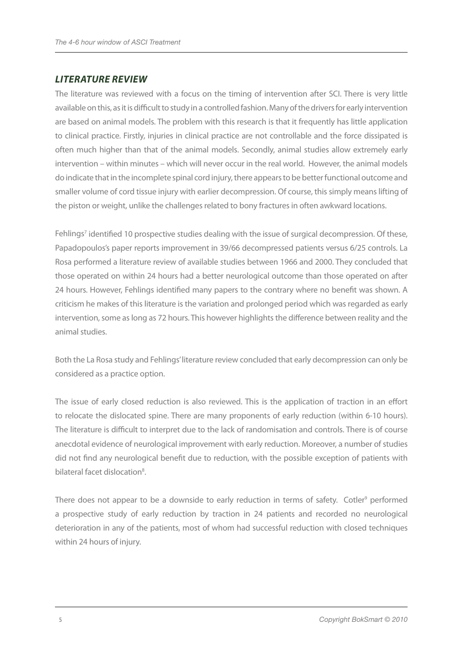## *LITERATURE REVIEW*

The literature was reviewed with a focus on the timing of intervention after SCI. There is very little available on this, as it is difficult to study in a controlled fashion. Many of the drivers for early intervention are based on animal models. The problem with this research is that it frequently has little application to clinical practice. Firstly, injuries in clinical practice are not controllable and the force dissipated is often much higher than that of the animal models. Secondly, animal studies allow extremely early intervention – within minutes – which will never occur in the real world. However, the animal models do indicate that in the incomplete spinal cord injury, there appears to be better functional outcome and smaller volume of cord tissue injury with earlier decompression. Of course, this simply means lifting of the piston or weight, unlike the challenges related to bony fractures in often awkward locations.

Fehlings<sup>7</sup> identified 10 prospective studies dealing with the issue of surgical decompression. Of these, Papadopoulos's paper reports improvement in 39/66 decompressed patients versus 6/25 controls. La Rosa performed a literature review of available studies between 1966 and 2000. They concluded that those operated on within 24 hours had a better neurological outcome than those operated on after 24 hours. However, Fehlings identified many papers to the contrary where no benefit was shown. A criticism he makes of this literature is the variation and prolonged period which was regarded as early intervention, some as long as 72 hours. This however highlights the difference between reality and the animal studies.

Both the La Rosa study and Fehlings' literature review concluded that early decompression can only be considered as a practice option.

The issue of early closed reduction is also reviewed. This is the application of traction in an effort to relocate the dislocated spine. There are many proponents of early reduction (within 6-10 hours). The literature is difficult to interpret due to the lack of randomisation and controls. There is of course anecdotal evidence of neurological improvement with early reduction. Moreover, a number of studies did not find any neurological benefit due to reduction, with the possible exception of patients with bilateral facet dislocation<sup>8</sup>.

There does not appear to be a downside to early reduction in terms of safety. Cotler<sup>9</sup> performed a prospective study of early reduction by traction in 24 patients and recorded no neurological deterioration in any of the patients, most of whom had successful reduction with closed techniques within 24 hours of injury.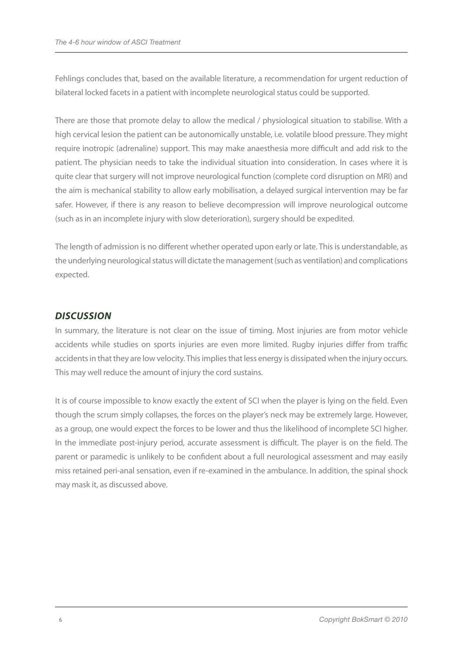Fehlings concludes that, based on the available literature, a recommendation for urgent reduction of bilateral locked facets in a patient with incomplete neurological status could be supported.

There are those that promote delay to allow the medical / physiological situation to stabilise. With a high cervical lesion the patient can be autonomically unstable, i.e. volatile blood pressure. They might require inotropic (adrenaline) support. This may make anaesthesia more difficult and add risk to the patient. The physician needs to take the individual situation into consideration. In cases where it is quite clear that surgery will not improve neurological function (complete cord disruption on MRI) and the aim is mechanical stability to allow early mobilisation, a delayed surgical intervention may be far safer. However, if there is any reason to believe decompression will improve neurological outcome (such as in an incomplete injury with slow deterioration), surgery should be expedited.

The length of admission is no different whether operated upon early or late. This is understandable, as the underlying neurological status will dictate the management (such as ventilation) and complications expected.

## *DISCUSSION*

In summary, the literature is not clear on the issue of timing. Most injuries are from motor vehicle accidents while studies on sports injuries are even more limited. Rugby injuries differ from traffic accidents in that they are low velocity. This implies that less energy is dissipated when the injury occurs. This may well reduce the amount of injury the cord sustains.

It is of course impossible to know exactly the extent of SCI when the player is lying on the field. Even though the scrum simply collapses, the forces on the player's neck may be extremely large. However, as a group, one would expect the forces to be lower and thus the likelihood of incomplete SCI higher. In the immediate post-injury period, accurate assessment is difficult. The player is on the field. The parent or paramedic is unlikely to be confident about a full neurological assessment and may easily miss retained peri-anal sensation, even if re-examined in the ambulance. In addition, the spinal shock may mask it, as discussed above.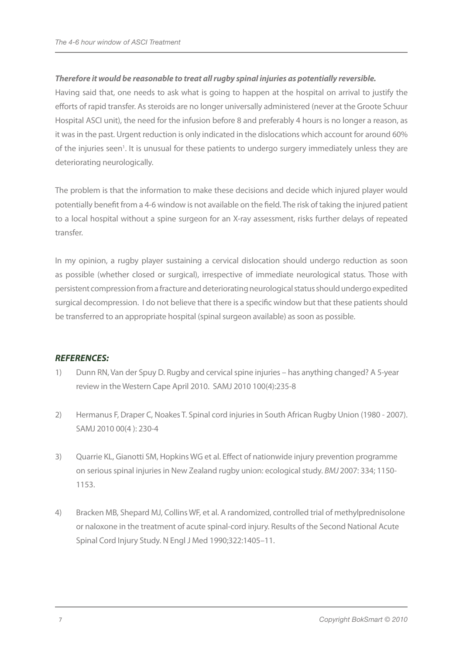#### *Therefore it would be reasonable to treat all rugby spinal injuries as potentially reversible.*

Having said that, one needs to ask what is going to happen at the hospital on arrival to justify the efforts of rapid transfer. As steroids are no longer universally administered (never at the Groote Schuur Hospital ASCI unit), the need for the infusion before 8 and preferably 4 hours is no longer a reason, as it was in the past. Urgent reduction is only indicated in the dislocations which account for around 60% of the injuries seen<sup>1</sup>. It is unusual for these patients to undergo surgery immediately unless they are deteriorating neurologically.

The problem is that the information to make these decisions and decide which injured player would potentially benefit from a 4-6 window is not available on the field. The risk of taking the injured patient to a local hospital without a spine surgeon for an X-ray assessment, risks further delays of repeated transfer.

In my opinion, a rugby player sustaining a cervical dislocation should undergo reduction as soon as possible (whether closed or surgical), irrespective of immediate neurological status. Those with persistent compression from a fracture and deteriorating neurological status should undergo expedited surgical decompression. I do not believe that there is a specific window but that these patients should be transferred to an appropriate hospital (spinal surgeon available) as soon as possible.

#### *REFERENCES:*

- 1) Dunn RN, Van der Spuy D. Rugby and cervical spine injuries has anything changed? A 5-year review in the Western Cape April 2010. SAMJ 2010 100(4):235-8
- 2) Hermanus F, Draper C, Noakes T. Spinal cord injuries in South African Rugby Union (1980 2007). SAMJ 2010 00(4 ): 230-4
- 3) Quarrie KL, Gianotti SM, Hopkins WG et al. Effect of nationwide injury prevention programme on serious spinal injuries in New Zealand rugby union: ecological study. *BMJ* 2007: 334; 1150- 1153.
- 4) Bracken MB, Shepard MJ, Collins WF, et al. A randomized, controlled trial of methylprednisolone or naloxone in the treatment of acute spinal-cord injury. Results of the Second National Acute Spinal Cord Injury Study. N Engl J Med 1990;322:1405–11.